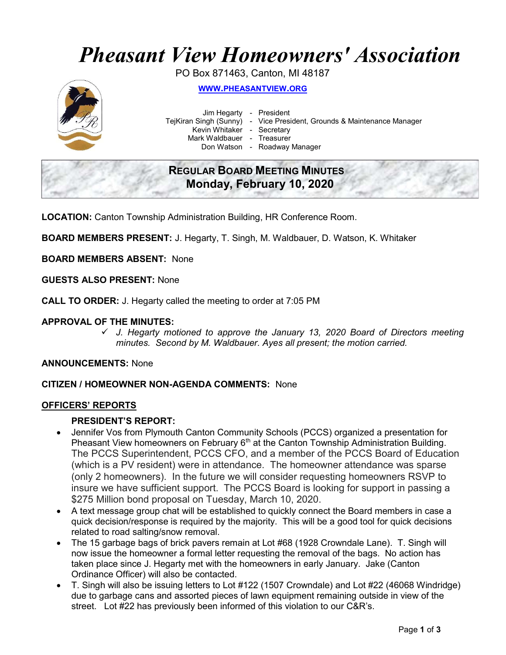# Pheasant View Homeowners' Association

PO Box 871463, Canton, MI 48187



WWW.PHEASANTVIEW.ORG

Jim Hegarty - President

TejKiran Singh (Sunny) - Vice President, Grounds & Maintenance Manager

Kevin Whitaker - Secretary

Mark Waldbauer - Treasurer

Don Watson - Roadway Manager

# REGULAR BOARD MEETING MINUTES Monday, February 10, 2020

LOCATION: Canton Township Administration Building, HR Conference Room.

BOARD MEMBERS PRESENT: J. Hegarty, T. Singh, M. Waldbauer, D. Watson, K. Whitaker

BOARD MEMBERS ABSENT: None

GUESTS ALSO PRESENT: None

CALL TO ORDER: J. Hegarty called the meeting to order at 7:05 PM

# APPROVAL OF THE MINUTES:

 $\checkmark$  J. Hegarty motioned to approve the January 13, 2020 Board of Directors meeting minutes. Second by M. Waldbauer. Ayes all present; the motion carried.

#### ANNOUNCEMENTS: None

# CITIZEN / HOMEOWNER NON-AGENDA COMMENTS: None

#### OFFICERS' REPORTS

## PRESIDENT'S REPORT:

- Jennifer Vos from Plymouth Canton Community Schools (PCCS) organized a presentation for Pheasant View homeowners on February 6<sup>th</sup> at the Canton Township Administration Building. The PCCS Superintendent, PCCS CFO, and a member of the PCCS Board of Education (which is a PV resident) were in attendance. The homeowner attendance was sparse (only 2 homeowners). In the future we will consider requesting homeowners RSVP to insure we have sufficient support. The PCCS Board is looking for support in passing a \$275 Million bond proposal on Tuesday, March 10, 2020.
- A text message group chat will be established to quickly connect the Board members in case a quick decision/response is required by the majority. This will be a good tool for quick decisions related to road salting/snow removal.
- The 15 garbage bags of brick pavers remain at Lot #68 (1928 Crowndale Lane). T. Singh will now issue the homeowner a formal letter requesting the removal of the bags. No action has taken place since J. Hegarty met with the homeowners in early January. Jake (Canton Ordinance Officer) will also be contacted.
- T. Singh will also be issuing letters to Lot #122 (1507 Crowndale) and Lot #22 (46068 Windridge) due to garbage cans and assorted pieces of lawn equipment remaining outside in view of the street. Lot #22 has previously been informed of this violation to our C&R's.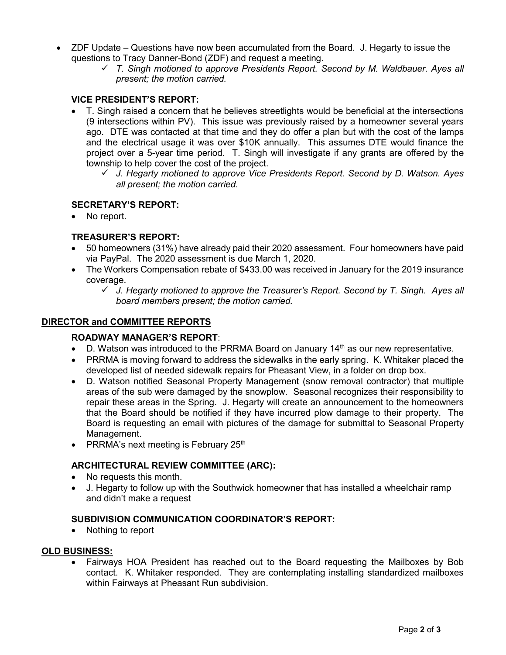- ZDF Update Questions have now been accumulated from the Board. J. Hegarty to issue the questions to Tracy Danner-Bond (ZDF) and request a meeting.
	- $\checkmark$  T. Singh motioned to approve Presidents Report. Second by M. Waldbauer. Ayes all present; the motion carried.

# VICE PRESIDENT'S REPORT:

- T. Singh raised a concern that he believes streetlights would be beneficial at the intersections (9 intersections within PV). This issue was previously raised by a homeowner several years ago. DTE was contacted at that time and they do offer a plan but with the cost of the lamps and the electrical usage it was over \$10K annually. This assumes DTE would finance the project over a 5-year time period. T. Singh will investigate if any grants are offered by the township to help cover the cost of the project.
	- $\checkmark$  J. Hegarty motioned to approve Vice Presidents Report. Second by D. Watson. Ayes all present; the motion carried.

### SECRETARY'S REPORT:

No report.

# TREASURER'S REPORT:

- 50 homeowners (31%) have already paid their 2020 assessment. Four homeowners have paid via PayPal. The 2020 assessment is due March 1, 2020.
- The Workers Compensation rebate of \$433.00 was received in January for the 2019 insurance coverage.
	- $\checkmark$  J. Hegarty motioned to approve the Treasurer's Report. Second by T. Singh. Ayes all board members present; the motion carried.

#### DIRECTOR and COMMITTEE REPORTS

#### ROADWAY MANAGER'S REPORT:

- D. Watson was introduced to the PRRMA Board on January  $14<sup>th</sup>$  as our new representative.
- PRRMA is moving forward to address the sidewalks in the early spring. K. Whitaker placed the developed list of needed sidewalk repairs for Pheasant View, in a folder on drop box.
- D. Watson notified Seasonal Property Management (snow removal contractor) that multiple areas of the sub were damaged by the snowplow. Seasonal recognizes their responsibility to repair these areas in the Spring. J. Hegarty will create an announcement to the homeowners that the Board should be notified if they have incurred plow damage to their property. The Board is requesting an email with pictures of the damage for submittal to Seasonal Property Management.
- PRRMA's next meeting is February  $25<sup>th</sup>$

#### ARCHITECTURAL REVIEW COMMITTEE (ARC):

- No requests this month.
- J. Hegarty to follow up with the Southwick homeowner that has installed a wheelchair ramp and didn't make a request

#### SUBDIVISION COMMUNICATION COORDINATOR'S REPORT:

• Nothing to report

#### OLD BUSINESS:

 Fairways HOA President has reached out to the Board requesting the Mailboxes by Bob contact. K. Whitaker responded. They are contemplating installing standardized mailboxes within Fairways at Pheasant Run subdivision.